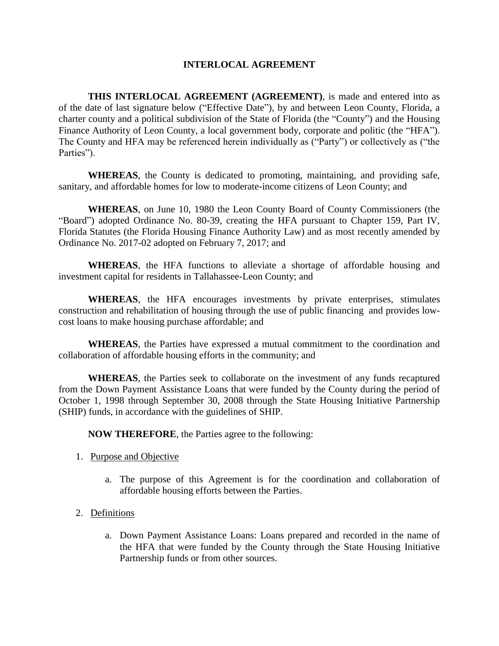### **INTERLOCAL AGREEMENT**

**THIS INTERLOCAL AGREEMENT (AGREEMENT)**, is made and entered into as of the date of last signature below ("Effective Date"), by and between Leon County, Florida, a charter county and a political subdivision of the State of Florida (the "County") and the Housing Finance Authority of Leon County, a local government body, corporate and politic (the "HFA"). The County and HFA may be referenced herein individually as ("Party") or collectively as ("the Parties").

**WHEREAS**, the County is dedicated to promoting, maintaining, and providing safe, sanitary, and affordable homes for low to moderate-income citizens of Leon County; and

**WHEREAS**, on June 10, 1980 the Leon County Board of County Commissioners (the "Board") adopted Ordinance No. 80-39, creating the HFA pursuant to Chapter 159, Part IV, Florida Statutes (the Florida Housing Finance Authority Law) and as most recently amended by Ordinance No. 2017-02 adopted on February 7, 2017; and

**WHEREAS**, the HFA functions to alleviate a shortage of affordable housing and investment capital for residents in Tallahassee-Leon County; and

**WHEREAS**, the HFA encourages investments by private enterprises, stimulates construction and rehabilitation of housing through the use of public financing and provides lowcost loans to make housing purchase affordable; and

**WHEREAS**, the Parties have expressed a mutual commitment to the coordination and collaboration of affordable housing efforts in the community; and

**WHEREAS**, the Parties seek to collaborate on the investment of any funds recaptured from the Down Payment Assistance Loans that were funded by the County during the period of October 1, 1998 through September 30, 2008 through the State Housing Initiative Partnership (SHIP) funds, in accordance with the guidelines of SHIP.

**NOW THEREFORE**, the Parties agree to the following:

- 1. Purpose and Objective
	- a. The purpose of this Agreement is for the coordination and collaboration of affordable housing efforts between the Parties.
- 2. Definitions
	- a. Down Payment Assistance Loans: Loans prepared and recorded in the name of the HFA that were funded by the County through the State Housing Initiative Partnership funds or from other sources.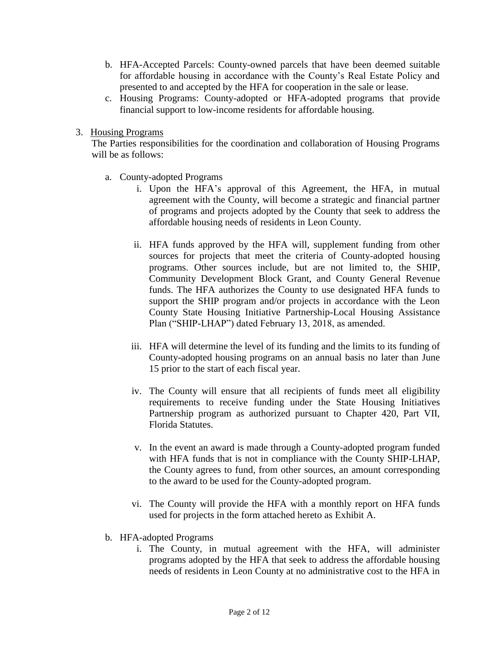- b. HFA-Accepted Parcels: County-owned parcels that have been deemed suitable for affordable housing in accordance with the County's Real Estate Policy and presented to and accepted by the HFA for cooperation in the sale or lease.
- c. Housing Programs: County-adopted or HFA-adopted programs that provide financial support to low-income residents for affordable housing.
- 3. Housing Programs

The Parties responsibilities for the coordination and collaboration of Housing Programs will be as follows:

- a. County-adopted Programs
	- i. Upon the HFA's approval of this Agreement, the HFA, in mutual agreement with the County, will become a strategic and financial partner of programs and projects adopted by the County that seek to address the affordable housing needs of residents in Leon County.
	- ii. HFA funds approved by the HFA will, supplement funding from other sources for projects that meet the criteria of County-adopted housing programs. Other sources include, but are not limited to, the SHIP, Community Development Block Grant, and County General Revenue funds. The HFA authorizes the County to use designated HFA funds to support the SHIP program and/or projects in accordance with the Leon County State Housing Initiative Partnership-Local Housing Assistance Plan ("SHIP-LHAP") dated February 13, 2018, as amended.
	- iii. HFA will determine the level of its funding and the limits to its funding of County-adopted housing programs on an annual basis no later than June 15 prior to the start of each fiscal year.
	- iv. The County will ensure that all recipients of funds meet all eligibility requirements to receive funding under the State Housing Initiatives Partnership program as authorized pursuant to Chapter 420, Part VII, Florida Statutes.
	- v. In the event an award is made through a County-adopted program funded with HFA funds that is not in compliance with the County SHIP-LHAP, the County agrees to fund, from other sources, an amount corresponding to the award to be used for the County-adopted program.
	- vi. The County will provide the HFA with a monthly report on HFA funds used for projects in the form attached hereto as Exhibit A.
- b. HFA-adopted Programs
	- i. The County, in mutual agreement with the HFA, will administer programs adopted by the HFA that seek to address the affordable housing needs of residents in Leon County at no administrative cost to the HFA in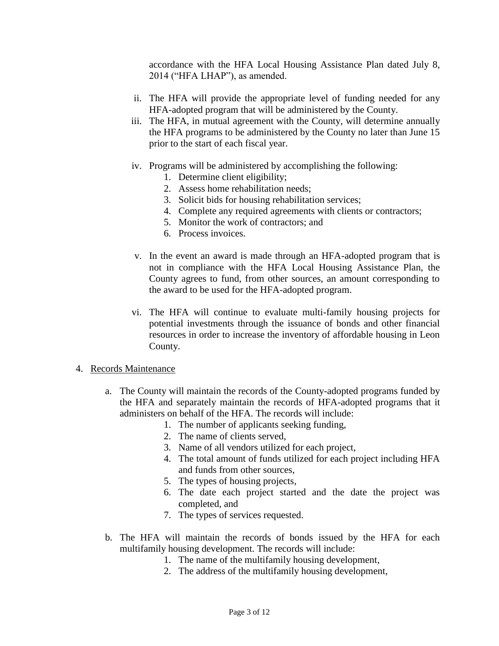accordance with the HFA Local Housing Assistance Plan dated July 8, 2014 ("HFA LHAP"), as amended.

- ii. The HFA will provide the appropriate level of funding needed for any HFA-adopted program that will be administered by the County.
- iii. The HFA, in mutual agreement with the County, will determine annually the HFA programs to be administered by the County no later than June 15 prior to the start of each fiscal year.
- iv. Programs will be administered by accomplishing the following:
	- 1. Determine client eligibility;
	- 2. Assess home rehabilitation needs;
	- 3. Solicit bids for housing rehabilitation services;
	- 4. Complete any required agreements with clients or contractors;
	- 5. Monitor the work of contractors; and
	- 6. Process invoices.
- v. In the event an award is made through an HFA-adopted program that is not in compliance with the HFA Local Housing Assistance Plan, the County agrees to fund, from other sources, an amount corresponding to the award to be used for the HFA-adopted program.
- vi. The HFA will continue to evaluate multi-family housing projects for potential investments through the issuance of bonds and other financial resources in order to increase the inventory of affordable housing in Leon County.

#### 4. Records Maintenance

- a. The County will maintain the records of the County-adopted programs funded by the HFA and separately maintain the records of HFA-adopted programs that it administers on behalf of the HFA. The records will include:
	- 1. The number of applicants seeking funding,
	- 2. The name of clients served,
	- 3. Name of all vendors utilized for each project,
	- 4. The total amount of funds utilized for each project including HFA and funds from other sources,
	- 5. The types of housing projects,
	- 6. The date each project started and the date the project was completed, and
	- 7. The types of services requested.
- b. The HFA will maintain the records of bonds issued by the HFA for each multifamily housing development. The records will include:
	- 1. The name of the multifamily housing development,
	- 2. The address of the multifamily housing development,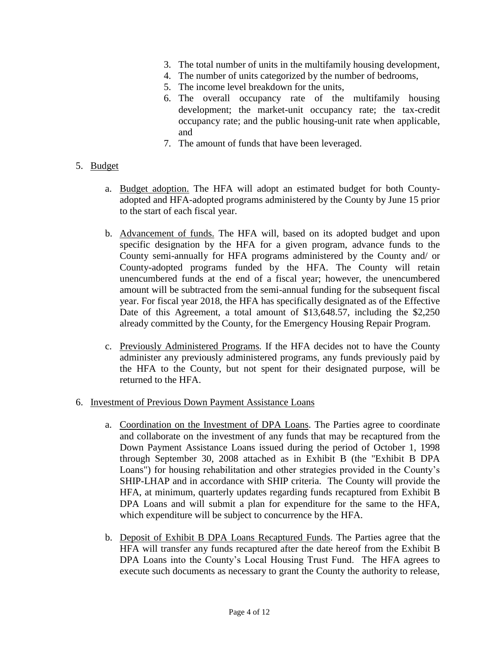- 3. The total number of units in the multifamily housing development,
- 4. The number of units categorized by the number of bedrooms,
- 5. The income level breakdown for the units,
- 6. The overall occupancy rate of the multifamily housing development; the market-unit occupancy rate; the tax-credit occupancy rate; and the public housing-unit rate when applicable, and
- 7. The amount of funds that have been leveraged.
- 5. Budget
	- a. Budget adoption. The HFA will adopt an estimated budget for both Countyadopted and HFA-adopted programs administered by the County by June 15 prior to the start of each fiscal year.
	- b. Advancement of funds. The HFA will, based on its adopted budget and upon specific designation by the HFA for a given program, advance funds to the County semi-annually for HFA programs administered by the County and/ or County-adopted programs funded by the HFA. The County will retain unencumbered funds at the end of a fiscal year; however, the unencumbered amount will be subtracted from the semi-annual funding for the subsequent fiscal year. For fiscal year 2018, the HFA has specifically designated as of the Effective Date of this Agreement, a total amount of \$13,648.57, including the \$2,250 already committed by the County, for the Emergency Housing Repair Program.
	- c. Previously Administered Programs*.* If the HFA decides not to have the County administer any previously administered programs, any funds previously paid by the HFA to the County, but not spent for their designated purpose, will be returned to the HFA.
- 6. Investment of Previous Down Payment Assistance Loans
	- a. Coordination on the Investment of DPA Loans. The Parties agree to coordinate and collaborate on the investment of any funds that may be recaptured from the Down Payment Assistance Loans issued during the period of October 1, 1998 through September 30, 2008 attached as in Exhibit B (the "Exhibit B DPA Loans") for housing rehabilitation and other strategies provided in the County's SHIP-LHAP and in accordance with SHIP criteria. The County will provide the HFA, at minimum, quarterly updates regarding funds recaptured from Exhibit B DPA Loans and will submit a plan for expenditure for the same to the HFA, which expenditure will be subject to concurrence by the HFA.
	- b. Deposit of Exhibit B DPA Loans Recaptured Funds. The Parties agree that the HFA will transfer any funds recaptured after the date hereof from the Exhibit B DPA Loans into the County's Local Housing Trust Fund. The HFA agrees to execute such documents as necessary to grant the County the authority to release,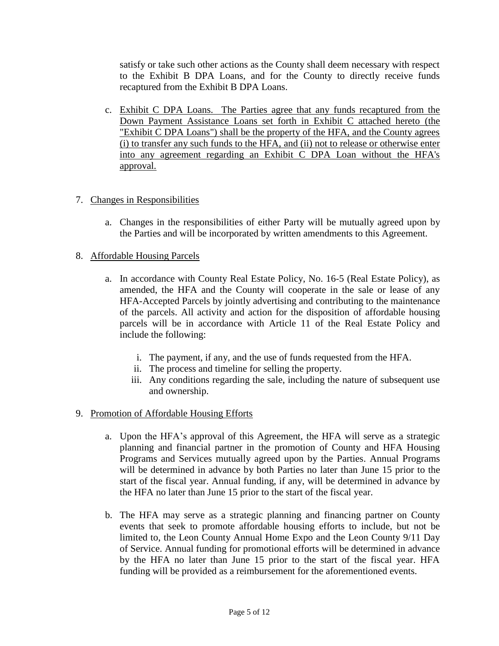satisfy or take such other actions as the County shall deem necessary with respect to the Exhibit B DPA Loans, and for the County to directly receive funds recaptured from the Exhibit B DPA Loans.

c. Exhibit C DPA Loans. The Parties agree that any funds recaptured from the Down Payment Assistance Loans set forth in Exhibit C attached hereto (the "Exhibit C DPA Loans") shall be the property of the HFA, and the County agrees (i) to transfer any such funds to the HFA, and (ii) not to release or otherwise enter into any agreement regarding an Exhibit C DPA Loan without the HFA's approval.

# 7. Changes in Responsibilities

a. Changes in the responsibilities of either Party will be mutually agreed upon by the Parties and will be incorporated by written amendments to this Agreement.

#### 8. Affordable Housing Parcels

- a. In accordance with County Real Estate Policy, No. 16-5 (Real Estate Policy), as amended, the HFA and the County will cooperate in the sale or lease of any HFA-Accepted Parcels by jointly advertising and contributing to the maintenance of the parcels. All activity and action for the disposition of affordable housing parcels will be in accordance with Article 11 of the Real Estate Policy and include the following:
	- i. The payment, if any, and the use of funds requested from the HFA.
	- ii. The process and timeline for selling the property.
	- iii. Any conditions regarding the sale, including the nature of subsequent use and ownership.

#### 9. Promotion of Affordable Housing Efforts

- a. Upon the HFA's approval of this Agreement, the HFA will serve as a strategic planning and financial partner in the promotion of County and HFA Housing Programs and Services mutually agreed upon by the Parties. Annual Programs will be determined in advance by both Parties no later than June 15 prior to the start of the fiscal year. Annual funding, if any, will be determined in advance by the HFA no later than June 15 prior to the start of the fiscal year.
- b. The HFA may serve as a strategic planning and financing partner on County events that seek to promote affordable housing efforts to include, but not be limited to, the Leon County Annual Home Expo and the Leon County 9/11 Day of Service. Annual funding for promotional efforts will be determined in advance by the HFA no later than June 15 prior to the start of the fiscal year. HFA funding will be provided as a reimbursement for the aforementioned events.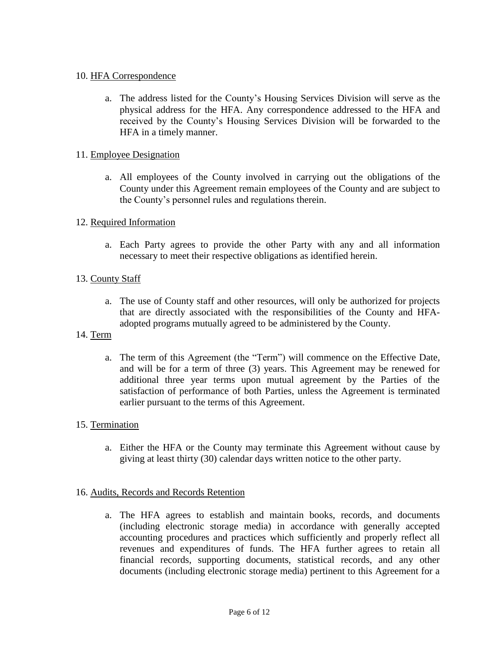## 10. HFA Correspondence

a. The address listed for the County's Housing Services Division will serve as the physical address for the HFA. Any correspondence addressed to the HFA and received by the County's Housing Services Division will be forwarded to the HFA in a timely manner.

### 11. Employee Designation

a. All employees of the County involved in carrying out the obligations of the County under this Agreement remain employees of the County and are subject to the County's personnel rules and regulations therein.

#### 12. Required Information

a. Each Party agrees to provide the other Party with any and all information necessary to meet their respective obligations as identified herein.

### 13. County Staff

- a. The use of County staff and other resources, will only be authorized for projects that are directly associated with the responsibilities of the County and HFAadopted programs mutually agreed to be administered by the County.
- 14. Term
	- a. The term of this Agreement (the "Term") will commence on the Effective Date, and will be for a term of three (3) years. This Agreement may be renewed for additional three year terms upon mutual agreement by the Parties of the satisfaction of performance of both Parties, unless the Agreement is terminated earlier pursuant to the terms of this Agreement.

#### 15. Termination

a. Either the HFA or the County may terminate this Agreement without cause by giving at least thirty (30) calendar days written notice to the other party.

#### 16. Audits, Records and Records Retention

a. The HFA agrees to establish and maintain books, records, and documents (including electronic storage media) in accordance with generally accepted accounting procedures and practices which sufficiently and properly reflect all revenues and expenditures of funds. The HFA further agrees to retain all financial records, supporting documents, statistical records, and any other documents (including electronic storage media) pertinent to this Agreement for a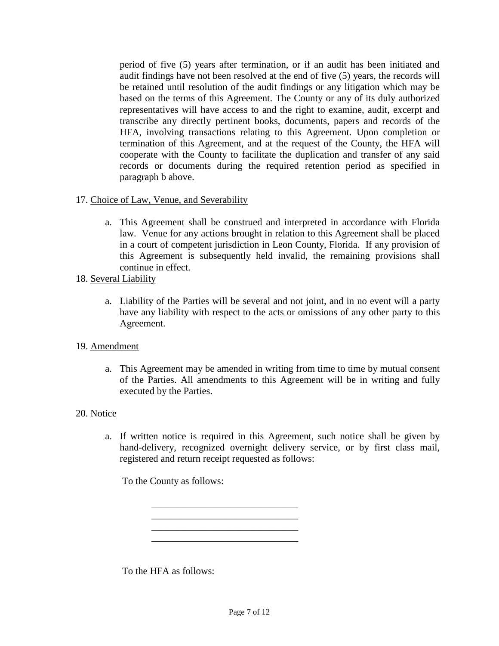period of five (5) years after termination, or if an audit has been initiated and audit findings have not been resolved at the end of five (5) years, the records will be retained until resolution of the audit findings or any litigation which may be based on the terms of this Agreement. The County or any of its duly authorized representatives will have access to and the right to examine, audit, excerpt and transcribe any directly pertinent books, documents, papers and records of the HFA, involving transactions relating to this Agreement. Upon completion or termination of this Agreement, and at the request of the County, the HFA will cooperate with the County to facilitate the duplication and transfer of any said records or documents during the required retention period as specified in paragraph b above.

- 17. Choice of Law, Venue, and Severability
	- a. This Agreement shall be construed and interpreted in accordance with Florida law. Venue for any actions brought in relation to this Agreement shall be placed in a court of competent jurisdiction in Leon County, Florida. If any provision of this Agreement is subsequently held invalid, the remaining provisions shall continue in effect.
- 18. Several Liability
	- a. Liability of the Parties will be several and not joint, and in no event will a party have any liability with respect to the acts or omissions of any other party to this Agreement.
- 19. Amendment
	- a. This Agreement may be amended in writing from time to time by mutual consent of the Parties. All amendments to this Agreement will be in writing and fully executed by the Parties.

#### 20. Notice

a. If written notice is required in this Agreement, such notice shall be given by hand-delivery, recognized overnight delivery service, or by first class mail, registered and return receipt requested as follows:

To the County as follows:

To the HFA as follows:

\_\_\_\_\_\_\_\_\_\_\_\_\_\_\_\_\_\_\_\_\_\_\_\_\_\_\_\_\_\_ \_\_\_\_\_\_\_\_\_\_\_\_\_\_\_\_\_\_\_\_\_\_\_\_\_\_\_\_\_\_ \_\_\_\_\_\_\_\_\_\_\_\_\_\_\_\_\_\_\_\_\_\_\_\_\_\_\_\_\_\_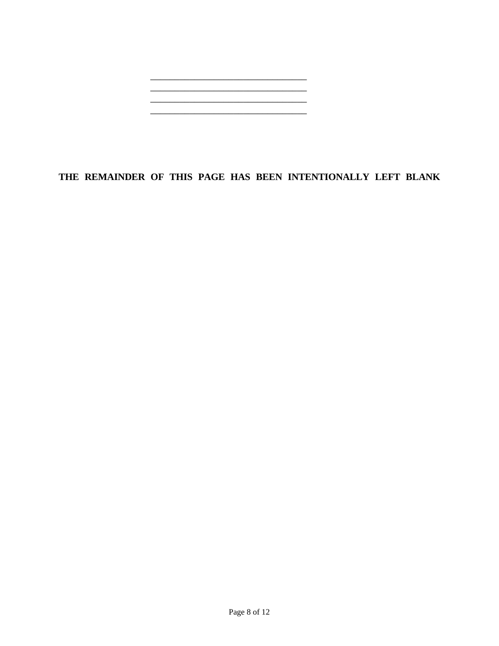

# **THE REMAINDER OF THIS PAGE HAS BEEN INTENTIONALLY LEFT BLANK**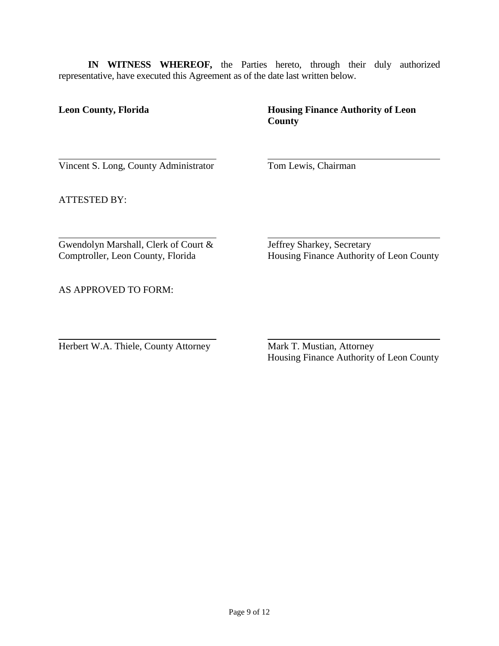**IN WITNESS WHEREOF,** the Parties hereto, through their duly authorized representative, have executed this Agreement as of the date last written below.

# **Leon County, Florida <b>Housing Finance Authority of Leon County**

Vincent S. Long, County Administrator Tom Lewis, Chairman

ATTESTED BY:

Gwendolyn Marshall, Clerk of Court & Jeffrey Sharkey, Secretary<br>
Comptroller, Leon County, Florida Housing Finance Authority

Housing Finance Authority of Leon County

AS APPROVED TO FORM:

Herbert W.A. Thiele, County Attorney Mark T. Mustian, Attorney

Housing Finance Authority of Leon County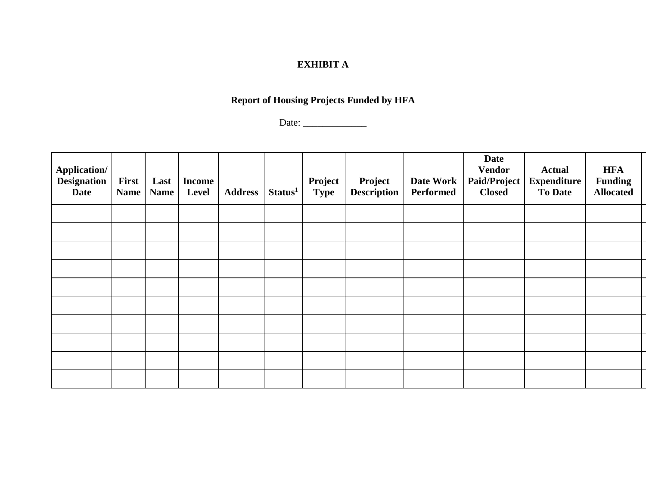# **EXHIBIT A**

# **Report of Housing Projects Funded by HFA**

Date: \_\_\_\_\_\_\_\_\_\_\_\_\_

| <b>Application/</b><br><b>Designation</b><br><b>Date</b> | <b>First</b><br><b>Name</b> | Last<br><b>Name</b> | <b>Income</b><br>Level | <b>Address</b> | Status <sup>1</sup> | Project<br><b>Type</b> | Project<br><b>Description</b> | Date Work<br>Performed | <b>Date</b><br><b>Vendor</b><br>Paid/Project<br><b>Closed</b> | <b>Actual</b><br><b>Expenditure</b><br><b>To Date</b> | <b>HFA</b><br><b>Funding</b><br><b>Allocated</b> |
|----------------------------------------------------------|-----------------------------|---------------------|------------------------|----------------|---------------------|------------------------|-------------------------------|------------------------|---------------------------------------------------------------|-------------------------------------------------------|--------------------------------------------------|
|                                                          |                             |                     |                        |                |                     |                        |                               |                        |                                                               |                                                       |                                                  |
|                                                          |                             |                     |                        |                |                     |                        |                               |                        |                                                               |                                                       |                                                  |
|                                                          |                             |                     |                        |                |                     |                        |                               |                        |                                                               |                                                       |                                                  |
|                                                          |                             |                     |                        |                |                     |                        |                               |                        |                                                               |                                                       |                                                  |
|                                                          |                             |                     |                        |                |                     |                        |                               |                        |                                                               |                                                       |                                                  |
|                                                          |                             |                     |                        |                |                     |                        |                               |                        |                                                               |                                                       |                                                  |
|                                                          |                             |                     |                        |                |                     |                        |                               |                        |                                                               |                                                       |                                                  |
|                                                          |                             |                     |                        |                |                     |                        |                               |                        |                                                               |                                                       |                                                  |
|                                                          |                             |                     |                        |                |                     |                        |                               |                        |                                                               |                                                       |                                                  |
|                                                          |                             |                     |                        |                |                     |                        |                               |                        |                                                               |                                                       |                                                  |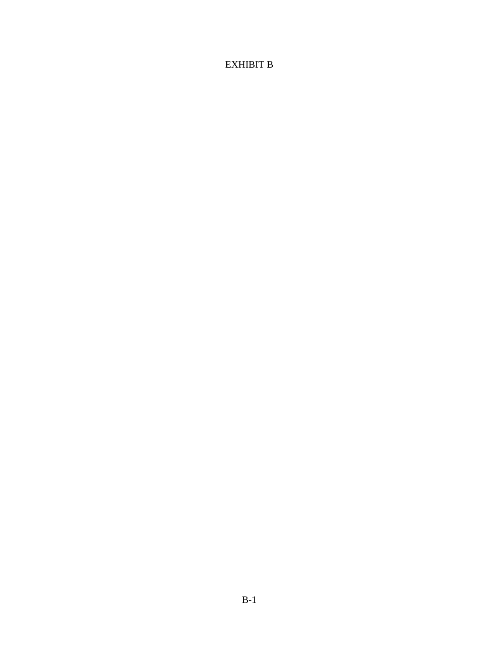# EXHIBIT B